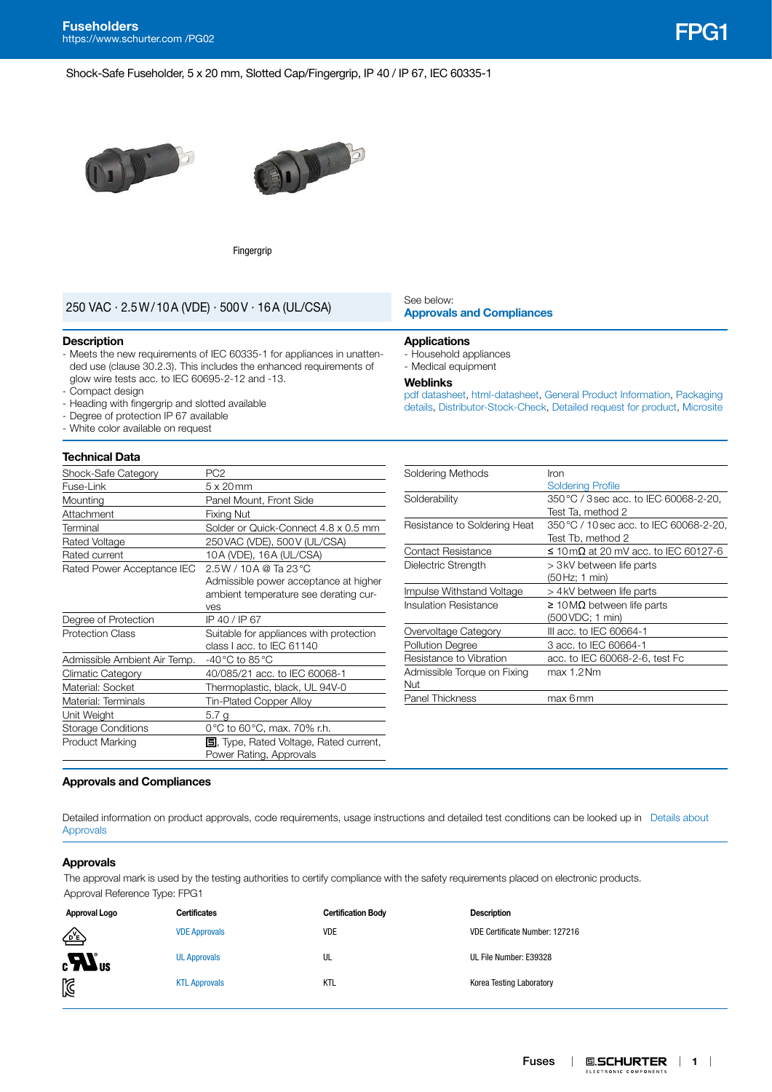Shock-Safe Fuseholder, 5 x 20 mm, Slotted Cap/Fingergrip, IP 40 / IP 67, IEC 60335-1





Fingergrip

# **[Approvals and Compliances](#page-0-0)** 250 VAC · 2.5W/10A (VDE) · 500V · 16A (UL/CSA)

#### **Description**

- Meets the new requirements of IEC 60335-1 for appliances in unattended use (clause 30.2.3). This includes the enhanced requirements of glow wire tests acc. to IEC 60695-2-12 and -13.
- Compact design
- Heading with fingergrip and slotted available
- Degree of protection IP 67 available
- White color available on request

# **Technical Data**

| Shock-Safe Category          | PC <sub>2</sub>                               |
|------------------------------|-----------------------------------------------|
| Fuse-Link                    | $5 \times 20$ mm                              |
| Mounting                     | Panel Mount, Front Side                       |
| Attachment                   | Fixing Nut                                    |
| Terminal                     | Solder or Quick-Connect 4.8 x 0.5 mm          |
| Rated Voltage                | 250 VAC (VDE), 500 V (UL/CSA)                 |
| Rated current                | 10A (VDE), 16A (UL/CSA)                       |
| Rated Power Acceptance IEC   | $2.5W/10A$ @ Ta 23 °C                         |
|                              | Admissible power acceptance at higher         |
|                              | ambient temperature see derating cur-         |
|                              | ves                                           |
| Degree of Protection         | IP 40 / IP 67                                 |
| <b>Protection Class</b>      | Suitable for appliances with protection       |
|                              | class I acc. to IEC 61140                     |
| Admissible Ambient Air Temp. | -40 $^{\circ}$ C to 85 $^{\circ}$ C           |
| Climatic Category            | 40/085/21 acc. to IEC 60068-1                 |
| Material: Socket             | Thermoplastic, black, UL 94V-0                |
| Material: Terminals          | Tin-Plated Copper Alloy                       |
| Unit Weight                  | 5.7 g                                         |
| <b>Storage Conditions</b>    | 0 °C to 60 °C, max. 70% r.h.                  |
| <b>Product Marking</b>       | <b>5.</b> Type, Rated Voltage, Rated current, |
|                              |                                               |

# See below:

#### **Applications**

- Household appliances - Medical equipment

#### **Weblinks**

[pdf datasheet](http://www.schurter.ch/pdf/english/typ_FPG1.pdf), [html-datasheet,](http://www.schurter.ch/en/datasheet/FPG1) [General Product Information](https://www.schurter.ch/en/products/fuses_general_info.asp?language_id=0), [Packaging](https://www.schurter.com/en/data/download/19867)  [details,](https://www.schurter.com/en/data/download/19867) [Distributor-Stock-Check](https://www.schurter.com/en/Stock-Check/Stock-Check-Distributor?partnumber1=FPG1), [Detailed request for product](https://www.schurter.com/en/Contacts/Contact-Form?type=FPG1), [Microsite](https://fuseholder.schurter.com)

| Soldering Methods            | Iron                                    |  |  |
|------------------------------|-----------------------------------------|--|--|
|                              | <b>Soldering Profile</b>                |  |  |
| Solderability                | 350 °C / 3 sec acc. to IEC 60068-2-20,  |  |  |
|                              | Test Ta, method 2                       |  |  |
| Resistance to Soldering Heat | 350 °C / 10 sec acc. to IEC 60068-2-20, |  |  |
|                              | Test Tb, method 2                       |  |  |
| <b>Contact Resistance</b>    | ≤ 10 mΩ at 20 mV acc. to IEC 60127-6    |  |  |
| Dielectric Strength          | > 3 kV between life parts               |  |  |
|                              | (50 Hz; 1 min)                          |  |  |
| Impulse Withstand Voltage    | > 4 kV between life parts               |  |  |
| Insulation Resistance        | $\geq$ 10 MΩ between life parts         |  |  |
|                              | (500 VDC; 1 min)                        |  |  |
| Overvoltage Category         | III acc. to IEC 60664-1                 |  |  |
| <b>Pollution Degree</b>      | 3 acc. to IEC 60664-1                   |  |  |
| Resistance to Vibration      | acc. to IEC 60068-2-6, test Fc          |  |  |
| Admissible Torque on Fixing  | max 1.2 Nm                              |  |  |
| Nut                          |                                         |  |  |
| <b>Panel Thickness</b>       | max 6mm                                 |  |  |

### <span id="page-0-0"></span>**Approvals and Compliances**

Detailed information on product approvals, code requirements, usage instructions and detailed test conditions can be looked up in Details about [Approvals](https://www.schurter.com/en/Components/Connectors/General-Product-Information#1.1)

### **Approvals**

The approval mark is used by the testing authorities to certify compliance with the safety requirements placed on electronic products. Approval Reference Type: FPG1

| Approval Logo        | <b>Certificates</b>  | <b>Certification Body</b> | <b>Description</b>             |
|----------------------|----------------------|---------------------------|--------------------------------|
| ∕≥≥                  | <b>VDE Approvals</b> | <b>VDE</b>                | VDE Certificate Number: 127216 |
| $_{\rm c}H_{\rm us}$ | <b>UL Approvals</b>  | UL                        | UL File Number: E39328         |
| 図                    | <b>KTL Approvals</b> | <b>KTL</b>                | Korea Testing Laboratory       |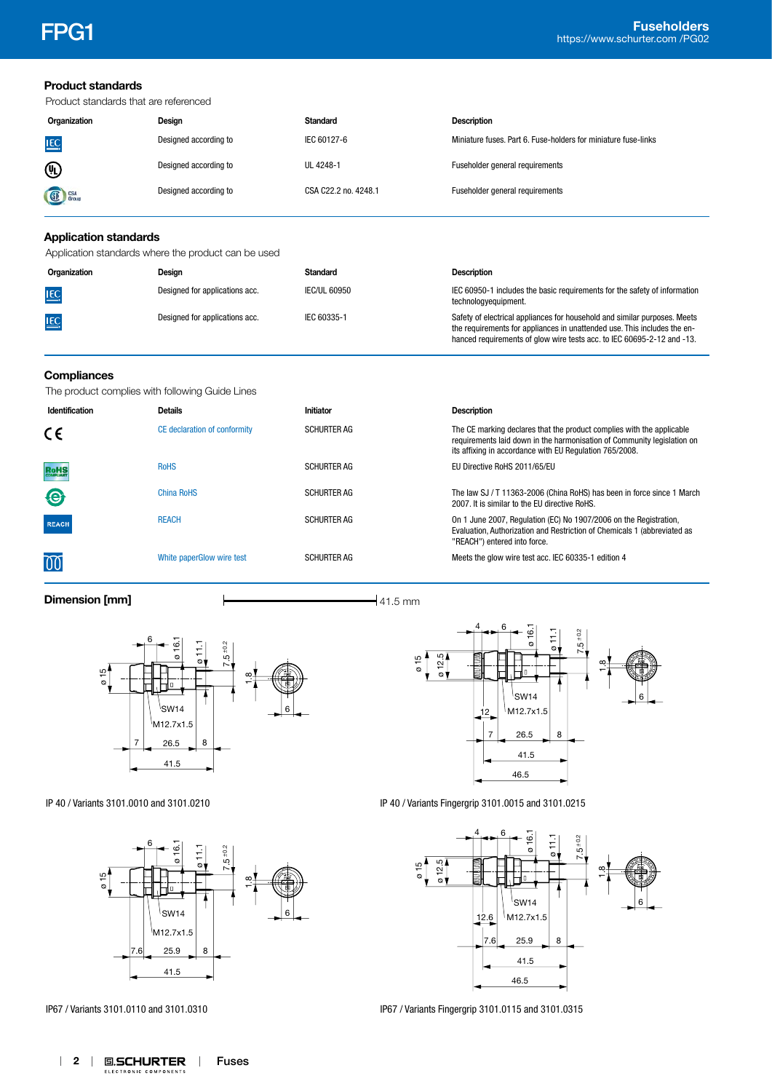**Product standards**

|                              | Product standards that are referenced               |                      |                                                                                                                                                                                                                                 |
|------------------------------|-----------------------------------------------------|----------------------|---------------------------------------------------------------------------------------------------------------------------------------------------------------------------------------------------------------------------------|
| Organization                 | Design                                              | <b>Standard</b>      | <b>Description</b>                                                                                                                                                                                                              |
| <u>IEC</u>                   | Designed according to                               | IEC 60127-6          | Miniature fuses, Part 6, Fuse-holders for miniature fuse-links                                                                                                                                                                  |
| ⑩                            | Designed according to                               | UL 4248-1            | Fuseholder general requirements                                                                                                                                                                                                 |
| Group                        | Designed according to                               | CSA C22.2 no. 4248.1 | Fuseholder general requirements                                                                                                                                                                                                 |
| <b>Application standards</b> |                                                     |                      |                                                                                                                                                                                                                                 |
|                              | Application standards where the product can be used |                      |                                                                                                                                                                                                                                 |
| Organization                 | Design                                              | <b>Standard</b>      | <b>Description</b>                                                                                                                                                                                                              |
| $\underline{\text{IEC}}$     | Designed for applications acc.                      | <b>IEC/UL 60950</b>  | IEC 60950-1 includes the basic requirements for the safety of information<br>technologyequipment.                                                                                                                               |
| <u>IEC</u>                   | Designed for applications acc.                      | IEC 60335-1          | Safety of electrical appliances for household and similar purposes. Meets<br>the requirements for appliances in unattended use. This includes the en-<br>hanced requirements of glow wire tests acc. to IEC 60695-2-12 and -13. |
| Compliances                  | The product complies with following Guide Lines     |                      |                                                                                                                                                                                                                                 |
| Identification               | <b>Details</b>                                      | Initiator            | <b>Description</b>                                                                                                                                                                                                              |
| C٤                           | CE declaration of conformity                        | <b>SCHURTER AG</b>   | The CE marking declares that the product complies with the applicable<br>requirements laid down in the harmonisation of Community legislation on<br>its affixing in accordance with EU Regulation 765/2008.                     |
| RoHS                         | <b>RoHS</b>                                         | <b>SCHURTER AG</b>   | EU Directive RoHS 2011/65/EU                                                                                                                                                                                                    |
| €                            | <b>China RoHS</b>                                   | <b>SCHURTER AG</b>   | The law SJ / T 11363-2006 (China RoHS) has been in force since 1 March<br>2007. It is similar to the EU directive RoHS.                                                                                                         |
| <b>REACH</b>                 | <b>REACH</b>                                        | <b>SCHURTER AG</b>   | On 1 June 2007, Regulation (EC) No 1907/2006 on the Registration,<br>Evaluation, Authorization and Restriction of Chemicals 1 (abbreviated as<br>"REACH") entered into force.                                                   |
|                              | White paperGlow wire test                           | <b>SCHURTER AG</b>   | Meets the glow wire test acc. IEC 60335-1 edition 4                                                                                                                                                                             |
| Dimension [mm]               |                                                     | $-41.5$ mm           |                                                                                                                                                                                                                                 |



IP 40 / Variants 3101.0010 and 3101.0210



IP67 / Variants 3101.0110 and 3101.0310



IP 40 / Variants Fingergrip 3101.0015 and 3101.0215



IP67 / Variants Fingergrip 3101.0115 and 3101.0315